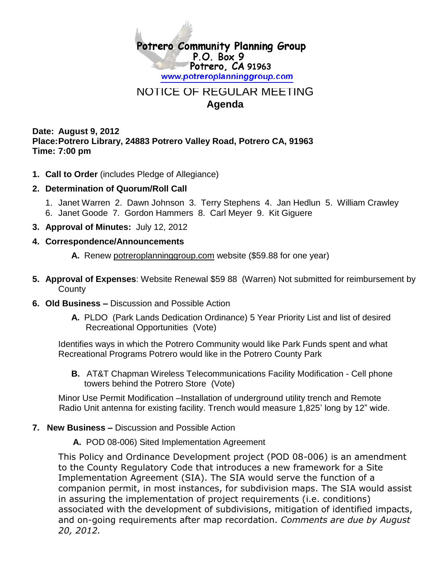

## NOTICE OF REGULAR MEETING **Agenda**

**Date: August 9, 2012 Place:Potrero Library, 24883 Potrero Valley Road, Potrero CA, 91963 Time: 7:00 pm**

- **1. Call to Order** (includes Pledge of Allegiance)
- **2. Determination of Quorum/Roll Call**
	- 1. Janet Warren 2. Dawn Johnson 3. Terry Stephens 4. Jan Hedlun 5. William Crawley 6. Janet Goode 7. Gordon Hammers 8. Carl Meyer 9. Kit Giguere
- **3. Approval of Minutes:** July 12, 2012

## **4. Correspondence/Announcements**

- **A.** Renew potreroplanninggroup.com website (\$59.88 for one year)
- **5. Approval of Expenses**: Website Renewal \$59 88 (Warren) Not submitted for reimbursement by **County**
- **6. Old Business –** Discussion and Possible Action
	- **A.** PLDO (Park Lands Dedication Ordinance) 5 Year Priority List and list of desired Recreational Opportunities (Vote)

Identifies ways in which the Potrero Community would like Park Funds spent and what Recreational Programs Potrero would like in the Potrero County Park

**B.** AT&T Chapman Wireless Telecommunications Facility Modification - Cell phone towers behind the Potrero Store (Vote)

Minor Use Permit Modification –Installation of underground utility trench and Remote Radio Unit antenna for existing facility. Trench would measure 1,825' long by 12" wide.

- **7. New Business –** Discussion and Possible Action
	- **A.** POD 08-006) Sited Implementation Agreement

This Policy and Ordinance Development project (POD 08-006) is an amendment to the County Regulatory Code that introduces a new framework for a Site Implementation Agreement (SIA). The SIA would serve the function of a companion permit, in most instances, for subdivision maps. The SIA would assist in assuring the implementation of project requirements (i.e. conditions) associated with the development of subdivisions, mitigation of identified impacts, and on-going requirements after map recordation. *Comments are due by August 20, 2012.*